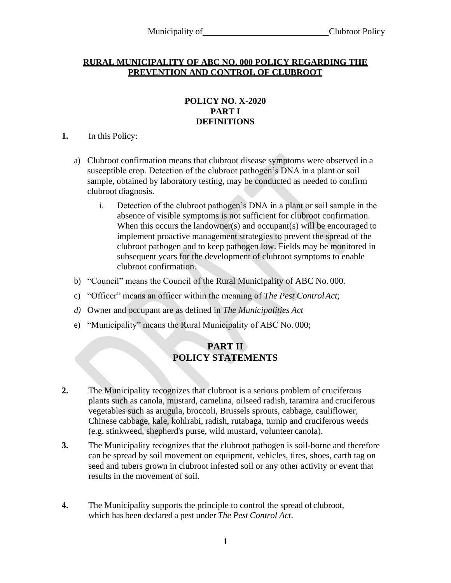### **RURAL MUNICIPALITY OF ABC NO. 000 POLICY REGARDING THE PREVENTION AND CONTROL OF CLUBROOT**

### **POLICY NO. X-2020 PART I DEFINITIONS**

### **1.** In this Policy:

- a) Clubroot confirmation means that clubroot disease symptoms were observed in a susceptible crop. Detection of the clubroot pathogen's DNA in a plant or soil sample, obtained by laboratory testing, may be conducted as needed to confirm clubroot diagnosis.
	- i. Detection of the clubroot pathogen's DNA in a plant or soil sample in the absence of visible symptoms is not sufficient for clubroot confirmation. When this occurs the landowner(s) and occupant(s) will be encouraged to implement proactive management strategies to prevent the spread of the clubroot pathogen and to keep pathogen low. Fields may be monitored in subsequent years for the development of clubroot symptoms to enable clubroot confirmation.
- b) "Council" means the Council of the Rural Municipality of ABC No. 000.
- c) "Officer" means an officer within the meaning of *The Pest ControlAct*;
- *d)* Owner and occupant are as defined in *The Municipalities Act*
- e) "Municipality" means the Rural Municipality of ABC No. 000;

# **PART II POLICY STATEMENTS**

- **2.** The Municipality recognizes that clubroot is a serious problem of cruciferous plants such as canola, mustard, camelina, oilseed radish, taramira and cruciferous vegetables such as arugula, broccoli, Brussels sprouts, cabbage, cauliflower, Chinese cabbage, kale, kohlrabi, radish, rutabaga, turnip and cruciferous weeds (e.g. stinkweed, shepherd's purse, wild mustard, volunteer canola).
- **3.** The Municipality recognizes that the clubroot pathogen is soil-borne and therefore can be spread by soil movement on equipment, vehicles, tires, shoes, earth tag on seed and tubers grown in clubroot infested soil or any other activity or event that results in the movement of soil.
- **4.** The Municipality supports the principle to control the spread of clubroot, which has been declared a pest under *The Pest Control Act*.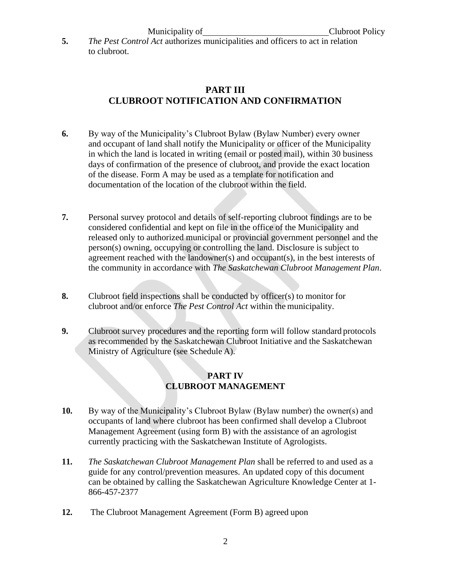**5.** *The Pest Control Act* authorizes municipalities and officers to act in relation to clubroot.

# **PART III CLUBROOT NOTIFICATION AND CONFIRMATION**

- **6.** By way of the Municipality's Clubroot Bylaw (Bylaw Number) every owner and occupant of land shall notify the Municipality or officer of the Municipality in which the land is located in writing (email or posted mail), within 30 business days of confirmation of the presence of clubroot, and provide the exact location of the disease. Form A may be used as a template for notification and documentation of the location of the clubroot within the field.
- **7.** Personal survey protocol and details of self-reporting clubroot findings are to be considered confidential and kept on file in the office of the Municipality and released only to authorized municipal or provincial government personnel and the person(s) owning, occupying or controlling the land. Disclosure is subject to agreement reached with the landowner(s) and occupant(s), in the best interests of the community in accordance with *The Saskatchewan Clubroot Management Plan*.
- **8.** Clubroot field inspections shall be conducted by officer(s) to monitor for clubroot and/or enforce *The Pest Control Act* within the municipality.
- **9.** Clubroot survey procedures and the reporting form will follow standard protocols as recommended by the Saskatchewan Clubroot Initiative and the Saskatchewan Ministry of Agriculture (see Schedule A).

### **PART IV CLUBROOT MANAGEMENT**

- **10.** By way of the Municipality's Clubroot Bylaw (Bylaw number) the owner(s) and occupants of land where clubroot has been confirmed shall develop a Clubroot Management Agreement (using form B) with the assistance of an agrologist currently practicing with the Saskatchewan Institute of Agrologists.
- **11.** *The Saskatchewan Clubroot Management Plan* shall be referred to and used as a guide for any control/prevention measures. An updated copy of this document can be obtained by calling the Saskatchewan Agriculture Knowledge Center at 1- 866-457-2377
- **12.** The Clubroot Management Agreement (Form B) agreed upon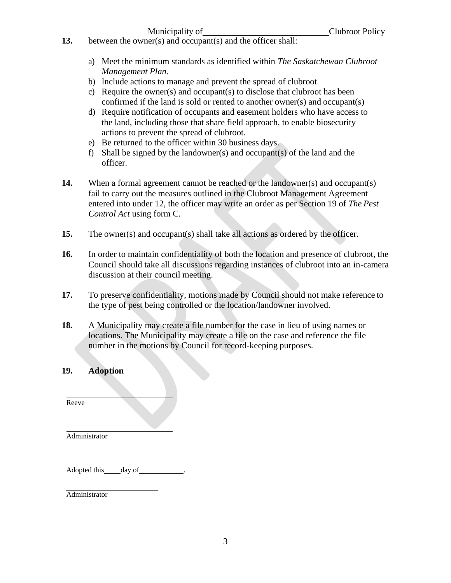- **13.** between the owner(s) and occupant(s) and the officer shall:
	- a) Meet the minimum standards as identified within *The Saskatchewan Clubroot Management Plan*.
	- b) Include actions to manage and prevent the spread of clubroot
	- c) Require the owner(s) and occupant(s) to disclose that clubroot has been confirmed if the land is sold or rented to another owner(s) and occupant(s)
	- d) Require notification of occupants and easement holders who have access to the land, including those that share field approach, to enable biosecurity actions to prevent the spread of clubroot.
	- e) Be returned to the officer within 30 business days.
	- f) Shall be signed by the landowner(s) and occupant(s) of the land and the officer.
- **14.** When a formal agreement cannot be reached or the landowner(s) and occupant(s) fail to carry out the measures outlined in the Clubroot Management Agreement entered into under 12, the officer may write an order as per Section 19 of *The Pest Control Act* using form C*.*
- **15.** The owner(s) and occupant(s) shall take all actions as ordered by the officer.
- **16.** In order to maintain confidentiality of both the location and presence of clubroot, the Council should take all discussions regarding instances of clubroot into an in-camera discussion at their council meeting.
- **17.** To preserve confidentiality, motions made by Council should not make reference to the type of pest being controlled or the location/landowner involved.
- **18.** A Municipality may create a file number for the case in lieu of using names or locations. The Municipality may create a file on the case and reference the file number in the motions by Council for record-keeping purposes.

### **19. Adoption**

Reeve

Administrator

Adopted this \_\_\_\_\_ day of

Administrator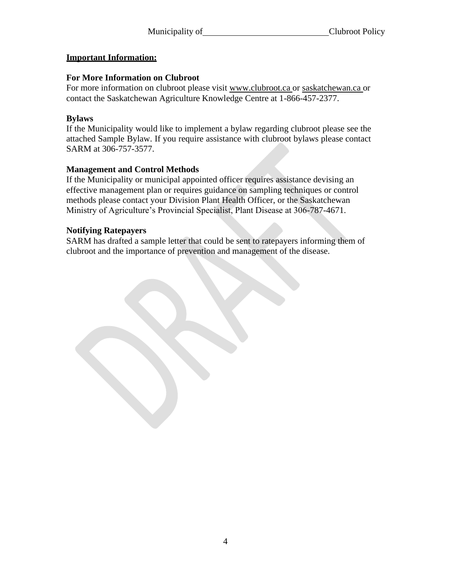### **Important Information:**

### **For More Information on Clubroot**

For more information on clubroot please visit [www.clubroot.ca o](http://www.clubroot.ca/)r saskatchewan.ca or contact the Saskatchewan Agriculture Knowledge Centre at 1-866-457-2377.

## **Bylaws**

If the Municipality would like to implement a bylaw regarding clubroot please see the attached Sample Bylaw. If you require assistance with clubroot bylaws please contact SARM at 306-757-3577.

## **Management and Control Methods**

If the Municipality or municipal appointed officer requires assistance devising an effective management plan or requires guidance on sampling techniques or control methods please contact your Division Plant Health Officer, or the Saskatchewan Ministry of Agriculture's Provincial Specialist, Plant Disease at 306-787-4671.

### **Notifying Ratepayers**

SARM has drafted a sample letter that could be sent to ratepayers informing them of clubroot and the importance of prevention and management of the disease.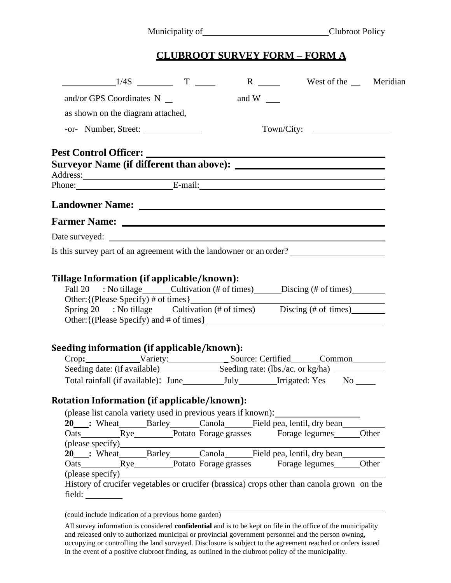Municipality of Clubroot Policy

# **CLUBROOT SURVEY FORM – FORM A**

| $\frac{1}{4S}$ T                                                                                                                                                                                                                                 |                     |            | West of the Meridian |
|--------------------------------------------------------------------------------------------------------------------------------------------------------------------------------------------------------------------------------------------------|---------------------|------------|----------------------|
| and/or GPS Coordinates $N_{\_\_}$                                                                                                                                                                                                                | and W $\frac{ }{ }$ |            |                      |
| as shown on the diagram attached,                                                                                                                                                                                                                |                     |            |                      |
| -or- Number, Street:                                                                                                                                                                                                                             |                     | Town/City: |                      |
| Pest Control Officer: New York Control Officer:                                                                                                                                                                                                  |                     |            |                      |
| Address:<br>Phone: E-mail: E-mail:                                                                                                                                                                                                               |                     |            |                      |
|                                                                                                                                                                                                                                                  |                     |            |                      |
| Landowner Name: Landowner Manuel 2007                                                                                                                                                                                                            |                     |            |                      |
|                                                                                                                                                                                                                                                  |                     |            |                      |
|                                                                                                                                                                                                                                                  |                     |            |                      |
| Is this survey part of an agreement with the landowner or an order?                                                                                                                                                                              |                     |            |                      |
| Seeding information (if applicable/known):<br>Crop: Variety: Source: Certified Common                                                                                                                                                            |                     |            |                      |
|                                                                                                                                                                                                                                                  |                     |            |                      |
| Rotation Information (if applicable/known):<br>(please list canola variety used in previous years if known):<br>20 : Wheat Barley Canola Field pea, lentil, dry bean<br>(please specify)<br>20 : Wheat Barley Canola Field pea, lentil, dry bean |                     |            |                      |
| (please specify)<br>History of crucifer vegetables or crucifer (brassica) crops other than canola grown on the                                                                                                                                   |                     |            |                      |

and released only to authorized municipal or provincial government personnel and the person owning, occupying or controlling the land surveyed. Disclosure is subject to the agreement reached or orders issued in the event of a positive clubroot finding, as outlined in the clubroot policy of the municipality.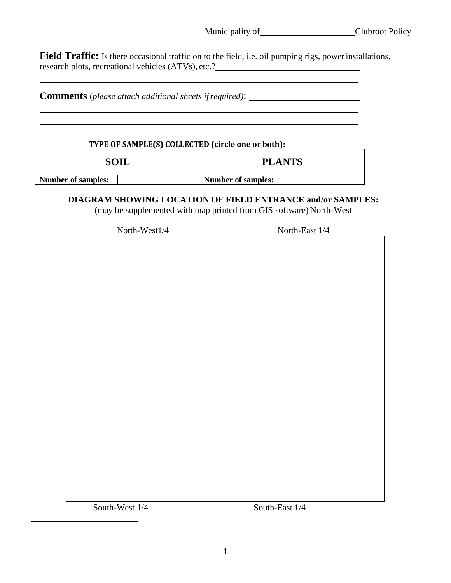<u> 1989 - Johann Barbara, martin amerikan basar da</u>

Field Traffic: Is there occasional traffic on to the field, i.e. oil pumping rigs, power installations, research plots, recreational vehicles (ATVs), etc.?

**Comments** (*please attach additional sheets ifrequired)*:

 $\mathsf{r}$ 

# **TYPE OF SAMPLE(S) COLLECTED (circle one or both):**

| SOIL                      | <b>PLANTS</b>             |
|---------------------------|---------------------------|
| <b>Number of samples:</b> | <b>Number of samples:</b> |

### **DIAGRAM SHOWING LOCATION OF FIELD ENTRANCE and/or SAMPLES:**

(may be supplemented with map printed from GIS software) North-West

| North-West1/4 | North-East $1/4\,$ |
|---------------|--------------------|
|               |                    |
|               |                    |
|               |                    |
|               |                    |
|               |                    |
|               |                    |
|               |                    |
|               |                    |
|               |                    |
|               |                    |
|               |                    |
|               |                    |
|               |                    |
|               |                    |
|               |                    |
|               |                    |
|               |                    |
|               |                    |
|               |                    |
|               |                    |
|               |                    |
|               |                    |
|               |                    |
|               |                    |

South-West  $1/4$  South-East  $1/4$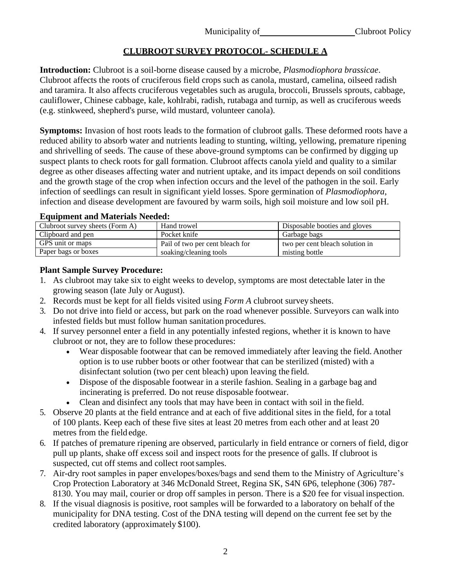# **CLUBROOT SURVEY PROTOCOL- SCHEDULE A**

**Introduction:** Clubroot is a soil-borne disease caused by a microbe, *Plasmodiophora brassicae*. Clubroot affects the roots of cruciferous field crops such as canola, mustard, camelina, oilseed radish and taramira. It also affects cruciferous vegetables such as arugula, broccoli, Brussels sprouts, cabbage, cauliflower, Chinese cabbage, kale, kohlrabi, radish, rutabaga and turnip, as well as cruciferous weeds (e.g. stinkweed, shepherd's purse, wild mustard, volunteer canola).

**Symptoms:** Invasion of host roots leads to the formation of clubroot galls. These deformed roots have a reduced ability to absorb water and nutrients leading to stunting, wilting, yellowing, premature ripening and shrivelling of seeds. The cause of these above-ground symptoms can be confirmed by digging up suspect plants to check roots for gall formation. Clubroot affects canola yield and quality to a similar degree as other diseases affecting water and nutrient uptake, and its impact depends on soil conditions and the growth stage of the crop when infection occurs and the level of the pathogen in the soil. Early infection of seedlings can result in significant yield losses. Spore germination of *Plasmodiophora*, infection and disease development are favoured by warm soils, high soil moisture and low soil pH.

### **Equipment and Materials Needed:**

| Clubroot survey sheets (Form A) | Hand trowel                     | Disposable booties and gloves   |
|---------------------------------|---------------------------------|---------------------------------|
| Clipboard and pen               | Pocket knife                    | Garbage bags                    |
| GPS unit or maps                | Pail of two per cent bleach for | two per cent bleach solution in |
| Paper bags or boxes             | soaking/cleaning tools          | misting bottle                  |

### **Plant Sample Survey Procedure:**

- 1. As clubroot may take six to eight weeks to develop, symptoms are most detectable later in the growing season (late July or August).
- 2. Records must be kept for all fields visited using *Form A* clubroot survey sheets.
- 3. Do not drive into field or access, but park on the road whenever possible. Surveyors can walk into infested fields but must follow human sanitation procedures.
- 4. If survey personnel enter a field in any potentially infested regions, whether it is known to have clubroot or not, they are to follow these procedures:
	- Wear disposable footwear that can be removed immediately after leaving the field. Another option is to use rubber boots or other footwear that can be sterilized (misted) with a disinfectant solution (two per cent bleach) upon leaving the field.
	- Dispose of the disposable footwear in a sterile fashion. Sealing in a garbage bag and incinerating is preferred. Do not reuse disposable footwear.
	- Clean and disinfect any tools that may have been in contact with soil in the field.
- 5. Observe 20 plants at the field entrance and at each of five additional sites in the field, for a total of 100 plants. Keep each of these five sites at least 20 metres from each other and at least 20 metres from the field edge.
- 6. If patches of premature ripening are observed, particularly in field entrance or corners of field, digor pull up plants, shake off excess soil and inspect roots for the presence of galls. If clubroot is suspected, cut off stems and collect rootsamples.
- 7. Air-dry root samples in paper envelopes/boxes/bags and send them to the Ministry of Agriculture's Crop Protection Laboratory at 346 McDonald Street, Regina SK, S4N 6P6, telephone (306) 787- 8130. You may mail, courier or drop off samples in person. There is a \$20 fee for visual inspection.
- 8. If the visual diagnosis is positive, root samples will be forwarded to a laboratory on behalf of the municipality for DNA testing. Cost of the DNA testing will depend on the current fee set by the credited laboratory (approximately \$100).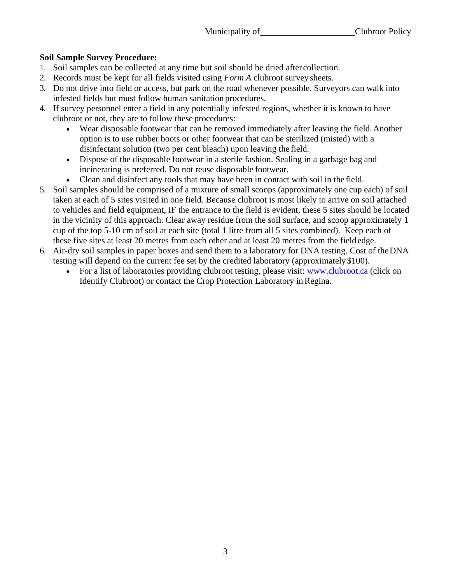# **Soil Sample Survey Procedure:**

- 1. Soil samples can be collected at any time but soil should be dried after collection.
- 2. Records must be kept for all fields visited using *Form A* clubroot survey sheets.
- 3. Do not drive into field or access, but park on the road whenever possible. Surveyors can walk into infested fields but must follow human sanitation procedures.
- 4. If survey personnel enter a field in any potentially infested regions, whether it is known to have clubroot or not, they are to follow these procedures:
	- Wear disposable footwear that can be removed immediately after leaving the field. Another option is to use rubber boots or other footwear that can be sterilized (misted) with a disinfectant solution (two per cent bleach) upon leaving the field.
	- Dispose of the disposable footwear in a sterile fashion. Sealing in a garbage bag and incinerating is preferred. Do not reuse disposable footwear.
	- Clean and disinfect any tools that may have been in contact with soil in the field.
- 5. Soil samples should be comprised of a mixture of small scoops (approximately one cup each) of soil taken at each of 5 sites visited in one field. Because clubroot is most likely to arrive on soil attached to vehicles and field equipment, IF the entrance to the field is evident, these 5 sites should be located in the vicinity of this approach. Clear away residue from the soil surface, and scoop approximately 1 cup of the top 5-10 cm of soil at each site (total 1 litre from all 5 sites combined). Keep each of these five sites at least 20 metres from each other and at least 20 metres from the fieldedge.
- 6. Air-dry soil samples in paper boxes and send them to a laboratory for DNA testing. Cost of theDNA testing will depend on the current fee set by the credited laboratory (approximately \$100).
	- For a list of laboratories providing clubroot testing, please visit: [www.clubroot.ca \(](http://www.clubroot.ca/)click on Identify Clubroot) or contact the Crop Protection Laboratory inRegina.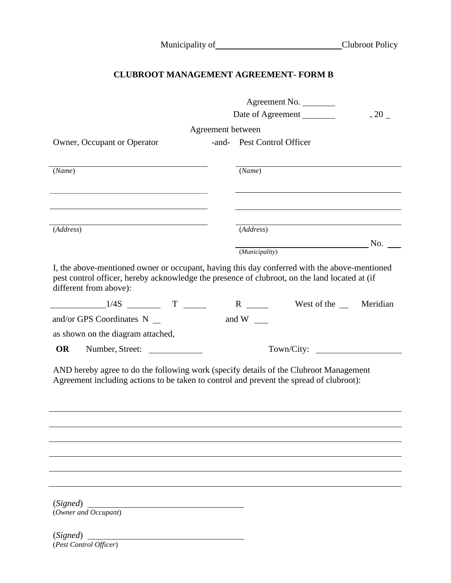|  |  | Municipality of_ |
|--|--|------------------|
|  |  |                  |

# **CLUBROOT MANAGEMENT AGREEMENT- FORM B**

|                                                                                                                                                                                                                         | Agreement No.                                  |      |
|-------------------------------------------------------------------------------------------------------------------------------------------------------------------------------------------------------------------------|------------------------------------------------|------|
|                                                                                                                                                                                                                         | Date of Agreement                              | , 20 |
|                                                                                                                                                                                                                         | Agreement between                              |      |
| Owner, Occupant or Operator                                                                                                                                                                                             | -and- Pest Control Officer                     |      |
| (Name)                                                                                                                                                                                                                  | (Name)                                         |      |
|                                                                                                                                                                                                                         |                                                |      |
|                                                                                                                                                                                                                         |                                                |      |
| $(\overline{\textit{Address}})$                                                                                                                                                                                         | (Address)                                      |      |
|                                                                                                                                                                                                                         | $\overline{\phantom{a}}$ No.<br>(Municipality) |      |
| I, the above-mentioned owner or occupant, having this day conferred with the above-mentioned<br>pest control officer, hereby acknowledge the presence of clubroot, on the land located at (if<br>different from above): |                                                |      |
|                                                                                                                                                                                                                         | R West of the Meridian                         |      |
| and/or GPS Coordinates $N_{\_\_}$                                                                                                                                                                                       | and W $\_\_$                                   |      |
| as shown on the diagram attached,                                                                                                                                                                                       |                                                |      |
| <b>OR</b><br>Number, Street:                                                                                                                                                                                            |                                                |      |
| AND hereby agree to do the following work (specify details of the Clubroot Management<br>Agreement including actions to be taken to control and prevent the spread of clubroot):                                        |                                                |      |
|                                                                                                                                                                                                                         |                                                |      |
|                                                                                                                                                                                                                         |                                                |      |
|                                                                                                                                                                                                                         |                                                |      |
|                                                                                                                                                                                                                         |                                                |      |
| (Signed)<br>(Owner and Occupant)                                                                                                                                                                                        |                                                |      |
| (Signed)<br>(Pest Control Officer)                                                                                                                                                                                      |                                                |      |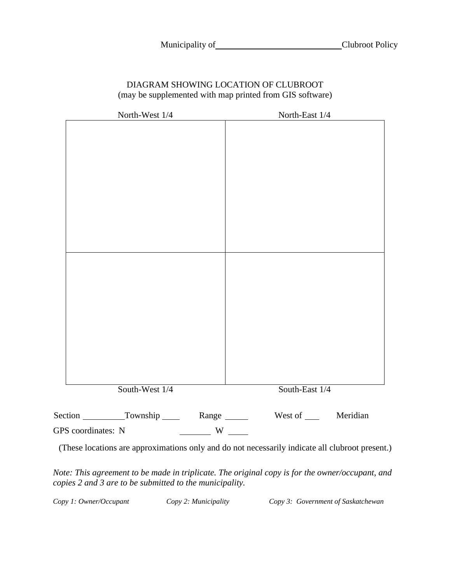#### DIAGRAM SHOWING LOCATION OF CLUBROOT (may be supplemented with map printed from GIS software)

| North-West 1/4         | North-East 1/4                             |
|------------------------|--------------------------------------------|
|                        |                                            |
|                        |                                            |
|                        |                                            |
|                        |                                            |
|                        |                                            |
|                        |                                            |
|                        |                                            |
|                        |                                            |
|                        |                                            |
|                        |                                            |
|                        |                                            |
|                        |                                            |
|                        |                                            |
|                        |                                            |
|                        |                                            |
|                        |                                            |
|                        |                                            |
|                        |                                            |
| South-West 1/4         | South-East 1/4                             |
| Section Township Range | West of _______ Meridian                   |
| GPS coordinates: N     | $\frac{1}{\sqrt{1-\frac{1}{2}}}\mathbf{W}$ |

(These locations are approximations only and do not necessarily indicate all clubroot present.)

*Note: This agreement to be made in triplicate. The original copy is for the owner/occupant, and copies 2 and 3 are to be submitted to the municipality.*

*Copy 1: Owner/Occupant Copy 2: Municipality Copy 3: Government of Saskatchewan*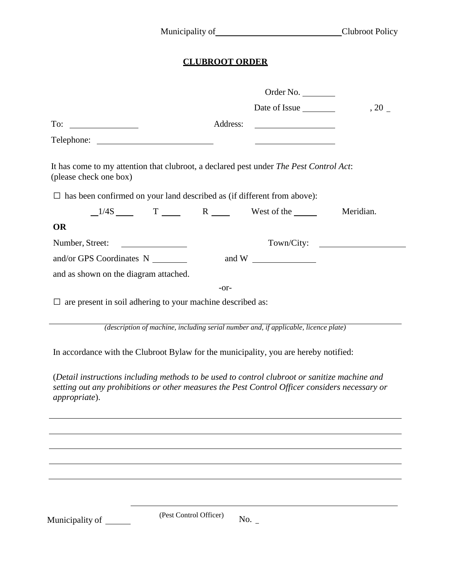# **CLUBROOT ORDER**

| Date of Issue<br>, 20<br><u> 1989 - Johann Barbara, martin amerikan ba</u>                                                                                                                      |
|-------------------------------------------------------------------------------------------------------------------------------------------------------------------------------------------------|
|                                                                                                                                                                                                 |
|                                                                                                                                                                                                 |
|                                                                                                                                                                                                 |
| It has come to my attention that clubroot, a declared pest under The Pest Control Act:                                                                                                          |
| $\Box$ has been confirmed on your land described as (if different from above):                                                                                                                  |
| $1/4S$ T R West of the<br>Meridian.                                                                                                                                                             |
|                                                                                                                                                                                                 |
| Town/City:                                                                                                                                                                                      |
| and W $\qquad$                                                                                                                                                                                  |
|                                                                                                                                                                                                 |
|                                                                                                                                                                                                 |
|                                                                                                                                                                                                 |
| (description of machine, including serial number and, if applicable, licence plate)                                                                                                             |
| In accordance with the Clubroot Bylaw for the municipality, you are hereby notified:                                                                                                            |
| (Detail instructions including methods to be used to control clubroot or sanitize machine and<br>setting out any prohibitions or other measures the Pest Control Officer considers necessary or |
|                                                                                                                                                                                                 |

Municipality of (Pest Control Officer) No. \_